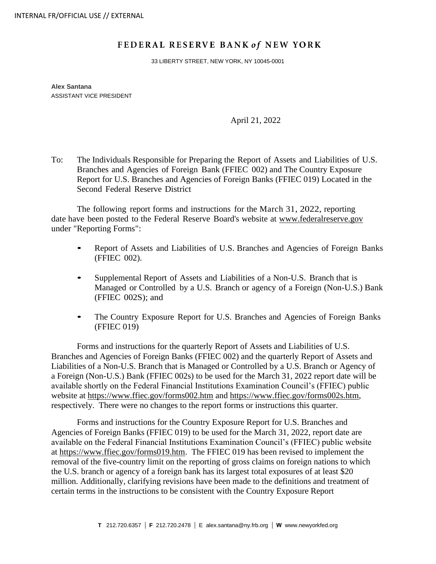## FEDERAL RESERVE BANK of NEW YORK

33 LIBERTY STREET, NEW YORK, NY 10045-0001

**Alex Santana** ASSISTANT VICE PRESIDENT

April 21, 2022

To: The Individuals Responsible for Preparing the Report of Assets and Liabilities of U.S. Branches and Agencies of Foreign Bank (FFIEC 002) and The Country Exposure Report for U.S. Branches and Agencies of Foreign Banks (FFIEC 019) Located in the Second Federal Reserve District

The following report forms and instructions for the March 31, 2022, reporting date have been posted to the Federal Reserve Board's website at [www.federalreserve.gov](https://www.federalreserve.gov/apps/reportforms/default.aspx) under "Reporting Forms":

- Report of Assets and Liabilities of U.S. Branches and Agencies of Foreign Banks (FFIEC 002).
- Supplemental Report of Assets and Liabilities of <sup>a</sup> Non-U.S. Branch that is Managed or Controlled by a U.S. Branch or agency of a Foreign (Non-U.S.) Bank (FFIEC 002S); and
- The Country Exposure Report for U.S. Branches and Agencies of Foreign Banks (FFIEC 019)

Forms and instructions for the quarterly Report of Assets and Liabilities of U.S. Branches and Agencies of Foreign Banks (FFIEC 002) and the quarterly Report of Assets and Liabilities of a Non-U.S. Branch that is Managed or Controlled by a U.S. Branch or Agency of a Foreign (Non-U.S.) Bank (FFIEC 002s) to be used for the March 31, 2022 report date will be available shortly on the Federal Financial Institutions Examination Council's (FFIEC) public website at<https://www.ffiec.gov/forms002.htm> and [https://www.ffiec.gov/forms002s.htm,](https://www.ffiec.gov/forms002s.htm) respectively. There were no changes to the report forms or instructions this quarter.

Forms and instructions for the Country Exposure Report for U.S. Branches and Agencies of Foreign Banks (FFIEC 019) to be used for the March 31, 2022, report date are available on the Federal Financial Institutions Examination Council's (FFIEC) public website at [https://www.ffiec.gov/forms019.htm.](https://www.ffiec.gov/forms019.htm) The FFIEC 019 has been revised to implement the removal of the five-country limit on the reporting of gross claims on foreign nations to which the U.S. branch or agency of a foreign bank has its largest total exposures of at least \$20 million. Additionally, clarifying revisions have been made to the definitions and treatment of certain terms in the instructions to be consistent with the Country Exposure Report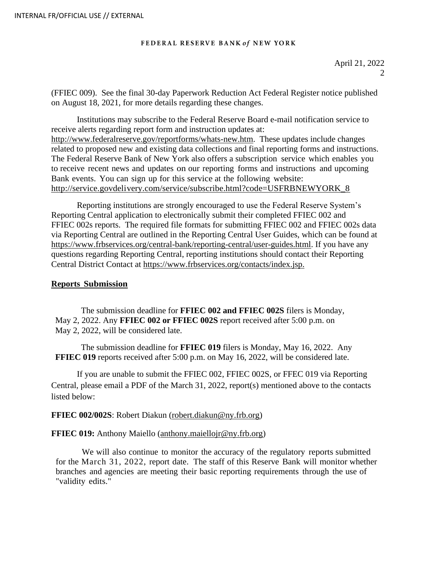### FEDERAL RESERVE BANK of NEW YORK

(FFIEC 009). See the final 30-day Paperwork Reduction Act Federal Register notice published on August 18, 2021, for more details regarding these changes.

Institutions may subscribe to the Federal Reserve Board e-mail notification service to receive alerts regarding report form and instruction updates at: [http://www.federalreserve.gov/reportforms/whats-new.htm.](http://www.federalreserve.gov/reportforms/whats-new.htm) These updates include changes related to proposed new and existing data collections and final reporting forms and instructions. The Federal Reserve Bank of New York also offers a subscription service which enables you to receive recent news and updates on our reporting forms and instructions and upcoming Bank events. You can sign up for this service at the following website: [http://service.govdelivery.com/service/subscribe.html?code=USFRBNEWYORK\\_8](http://service.govdelivery.com/service/subscribe.html?code=USFRBNEWYORK_8)

Reporting institutions are strongly encouraged to use the Federal Reserve System's Reporting Central application to electronically submit their completed FFIEC 002 and FFIEC 002s reports. The required file formats for submitting FFIEC 002 and FFIEC 002s data via Reporting Central are outlined in the Reporting Central User Guides, which can be found at [https://www.frbservices.org/central-bank/reporting-central/user-guides.html.](https://www.frbservices.org/central-bank/reporting-central/user-guides.html) If you have any questions regarding Reporting Central, reporting institutions should contact their Reporting Central District Contact at [https://www.frbservices.org/contacts/index.jsp.](https://www.frbservices.org/contacts/index.jsp)

## **Reports Submission**

The submission deadline for **FFIEC 002 and FFIEC 002S** filers is Monday, May 2, 2022. Any **FFIEC 002 or FFIEC 002S** report received after 5:00 p.m. on May 2, 2022, will be considered late.

The submission deadline for **FFIEC 019** filers is Monday, May 16, 2022. Any **FFIEC 019** reports received after 5:00 p.m. on May 16, 2022, will be considered late.

If you are unable to submit the FFIEC 002, FFIEC 002S, or FFEC 019 via Reporting Central, please email a PDF of the March 31, 2022, report(s) mentioned above to the contacts listed below:

# **FFIEC 002/002S**: Robert Diakun [\(robert.diakun@ny.frb.org\)](mailto:robert.diakun@ny.frb.org)

## **FFIEC 019:** Anthony Maiello [\(anthony.maiellojr@ny.frb.org\)](mailto:anthony.maiellojr@ny.frb.org)

We will also continue to monitor the accuracy of the regulatory reports submitted for the March 31, 2022, report date. The staff of this Reserve Bank will monitor whether branches and agencies are meeting their basic reporting requirements through the use of "validity edits."